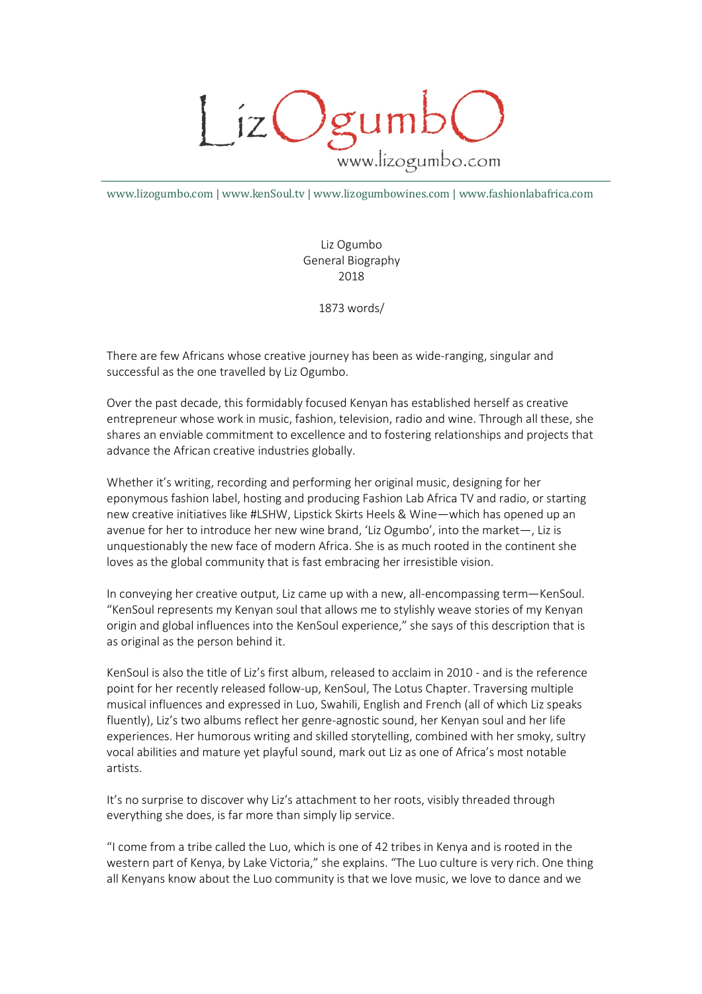

www.lizogumbo.com | www.kenSoul.tv | www.lizogumbowines.com | www.fashionlabafrica.com

Liz Ogumbo General Biography 2018

1873 words/

There are few Africans whose creative journey has been as wide-ranging, singular and successful as the one travelled by Liz Ogumbo.

Over the past decade, this formidably focused Kenyan has established herself as creative entrepreneur whose work in music, fashion, television, radio and wine. Through all these, she shares an enviable commitment to excellence and to fostering relationships and projects that advance the African creative industries globally.

Whether it's writing, recording and performing her original music, designing for her eponymous fashion label, hosting and producing Fashion Lab Africa TV and radio, or starting new creative initiatives like #LSHW, Lipstick Skirts Heels & Wine—which has opened up an avenue for her to introduce her new wine brand, 'Liz Ogumbo', into the market—, Liz is unquestionably the new face of modern Africa. She is as much rooted in the continent she loves as the global community that is fast embracing her irresistible vision.

In conveying her creative output, Liz came up with a new, all-encompassing term—KenSoul. "KenSoul represents my Kenyan soul that allows me to stylishly weave stories of my Kenyan origin and global influences into the KenSoul experience," she says of this description that is as original as the person behind it.

KenSoul is also the title of Liz's first album, released to acclaim in 2010 - and is the reference point for her recently released follow-up, KenSoul, The Lotus Chapter. Traversing multiple musical influences and expressed in Luo, Swahili, English and French (all of which Liz speaks fluently), Liz's two albums reflect her genre-agnostic sound, her Kenyan soul and her life experiences. Her humorous writing and skilled storytelling, combined with her smoky, sultry vocal abilities and mature yet playful sound, mark out Liz as one of Africa's most notable artists.

It's no surprise to discover why Liz's attachment to her roots, visibly threaded through everything she does, is far more than simply lip service.

"I come from a tribe called the Luo, which is one of 42 tribes in Kenya and is rooted in the western part of Kenya, by Lake Victoria," she explains. "The Luo culture is very rich. One thing all Kenyans know about the Luo community is that we love music, we love to dance and we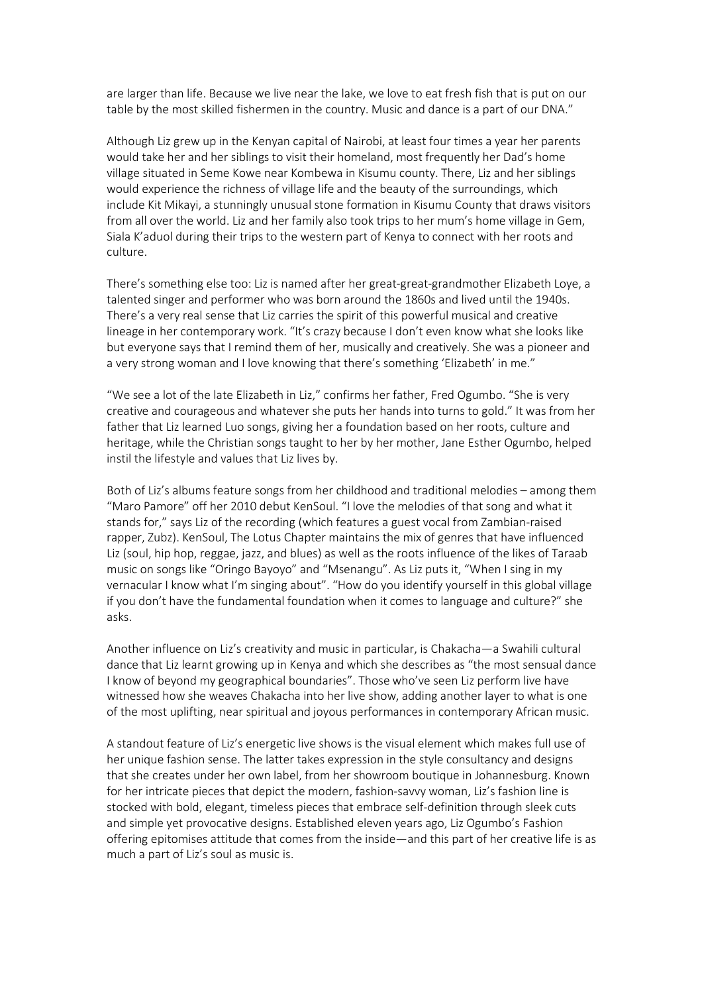are larger than life. Because we live near the lake, we love to eat fresh fish that is put on our table by the most skilled fishermen in the country. Music and dance is a part of our DNA."

Although Liz grew up in the Kenyan capital of Nairobi, at least four times a year her parents would take her and her siblings to visit their homeland, most frequently her Dad's home village situated in Seme Kowe near Kombewa in Kisumu county. There, Liz and her siblings would experience the richness of village life and the beauty of the surroundings, which include Kit Mikayi, a stunningly unusual stone formation in Kisumu County that draws visitors from all over the world. Liz and her family also took trips to her mum's home village in Gem, Siala K'aduol during their trips to the western part of Kenya to connect with her roots and culture.

There's something else too: Liz is named after her great-great-grandmother Elizabeth Loye, a talented singer and performer who was born around the 1860s and lived until the 1940s. There's a very real sense that Liz carries the spirit of this powerful musical and creative lineage in her contemporary work. "It's crazy because I don't even know what she looks like but everyone says that I remind them of her, musically and creatively. She was a pioneer and a very strong woman and I love knowing that there's something 'Elizabeth' in me."

"We see a lot of the late Elizabeth in Liz," confirms her father, Fred Ogumbo. "She is very creative and courageous and whatever she puts her hands into turns to gold." It was from her father that Liz learned Luo songs, giving her a foundation based on her roots, culture and heritage, while the Christian songs taught to her by her mother, Jane Esther Ogumbo, helped instil the lifestyle and values that Liz lives by.

Both of Liz's albums feature songs from her childhood and traditional melodies – among them "Maro Pamore" off her 2010 debut KenSoul. "I love the melodies of that song and what it stands for," says Liz of the recording (which features a guest vocal from Zambian-raised rapper, Zubz). KenSoul, The Lotus Chapter maintains the mix of genres that have influenced Liz (soul, hip hop, reggae, jazz, and blues) as well as the roots influence of the likes of Taraab music on songs like "Oringo Bayoyo" and "Msenangu". As Liz puts it, "When I sing in my vernacular I know what I'm singing about". "How do you identify yourself in this global village if you don't have the fundamental foundation when it comes to language and culture?" she asks.

Another influence on Liz's creativity and music in particular, is Chakacha—a Swahili cultural dance that Liz learnt growing up in Kenya and which she describes as "the most sensual dance I know of beyond my geographical boundaries". Those who've seen Liz perform live have witnessed how she weaves Chakacha into her live show, adding another layer to what is one of the most uplifting, near spiritual and joyous performances in contemporary African music.

A standout feature of Liz's energetic live shows is the visual element which makes full use of her unique fashion sense. The latter takes expression in the style consultancy and designs that she creates under her own label, from her showroom boutique in Johannesburg. Known for her intricate pieces that depict the modern, fashion-savvy woman, Liz's fashion line is stocked with bold, elegant, timeless pieces that embrace self-definition through sleek cuts and simple yet provocative designs. Established eleven years ago, Liz Ogumbo's Fashion offering epitomises attitude that comes from the inside—and this part of her creative life is as much a part of Liz's soul as music is.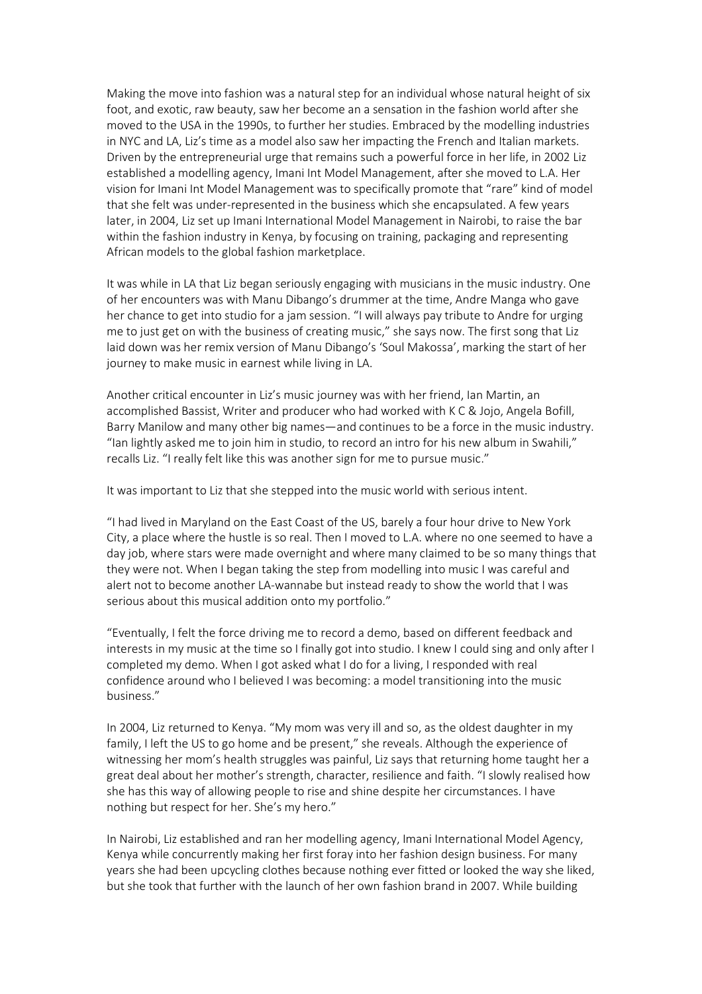Making the move into fashion was a natural step for an individual whose natural height of six foot, and exotic, raw beauty, saw her become an a sensation in the fashion world after she moved to the USA in the 1990s, to further her studies. Embraced by the modelling industries in NYC and LA, Liz's time as a model also saw her impacting the French and Italian markets. Driven by the entrepreneurial urge that remains such a powerful force in her life, in 2002 Liz established a modelling agency, Imani Int Model Management, after she moved to L.A. Her vision for Imani Int Model Management was to specifically promote that "rare" kind of model that she felt was under-represented in the business which she encapsulated. A few years later, in 2004, Liz set up Imani International Model Management in Nairobi, to raise the bar within the fashion industry in Kenya, by focusing on training, packaging and representing African models to the global fashion marketplace.

It was while in LA that Liz began seriously engaging with musicians in the music industry. One of her encounters was with Manu Dibango's drummer at the time, Andre Manga who gave her chance to get into studio for a jam session. "I will always pay tribute to Andre for urging me to just get on with the business of creating music," she says now. The first song that Liz laid down was her remix version of Manu Dibango's 'Soul Makossa', marking the start of her journey to make music in earnest while living in LA.

Another critical encounter in Liz's music journey was with her friend, Ian Martin, an accomplished Bassist, Writer and producer who had worked with K C & Jojo, Angela Bofill, Barry Manilow and many other big names—and continues to be a force in the music industry. "Ian lightly asked me to join him in studio, to record an intro for his new album in Swahili," recalls Liz. "I really felt like this was another sign for me to pursue music."

It was important to Liz that she stepped into the music world with serious intent.

"I had lived in Maryland on the East Coast of the US, barely a four hour drive to New York City, a place where the hustle is so real. Then I moved to L.A. where no one seemed to have a day job, where stars were made overnight and where many claimed to be so many things that they were not. When I began taking the step from modelling into music I was careful and alert not to become another LA-wannabe but instead ready to show the world that I was serious about this musical addition onto my portfolio."

"Eventually, I felt the force driving me to record a demo, based on different feedback and interests in my music at the time so I finally got into studio. I knew I could sing and only after I completed my demo. When I got asked what I do for a living, I responded with real confidence around who I believed I was becoming: a model transitioning into the music business."

In 2004, Liz returned to Kenya. "My mom was very ill and so, as the oldest daughter in my family, I left the US to go home and be present," she reveals. Although the experience of witnessing her mom's health struggles was painful, Liz says that returning home taught her a great deal about her mother's strength, character, resilience and faith. "I slowly realised how she has this way of allowing people to rise and shine despite her circumstances. I have nothing but respect for her. She's my hero."

In Nairobi, Liz established and ran her modelling agency, Imani International Model Agency, Kenya while concurrently making her first foray into her fashion design business. For many years she had been upcycling clothes because nothing ever fitted or looked the way she liked, but she took that further with the launch of her own fashion brand in 2007. While building